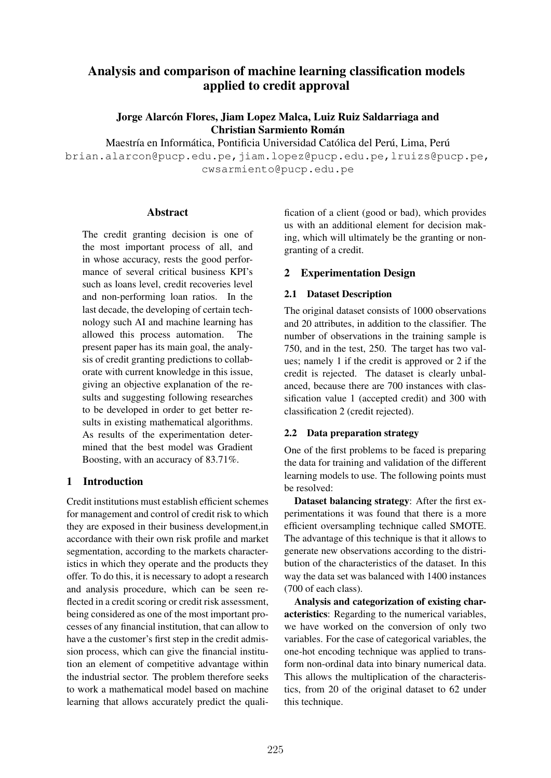# Analysis and comparison of machine learning classification models applied to credit approval

Jorge Alarcón Flores, Jiam Lopez Malca, Luiz Ruiz Saldarriaga and Christian Sarmiento Roman´

Maestría en Informática, Pontificia Universidad Católica del Perú, Lima, Perú

brian.alarcon@pucp.edu.pe,jiam.lopez@pucp.edu.pe,lruizs@pucp.pe, cwsarmiento@pucp.edu.pe

### **Abstract**

The credit granting decision is one of the most important process of all, and in whose accuracy, rests the good performance of several critical business KPI's such as loans level, credit recoveries level and non-performing loan ratios. In the last decade, the developing of certain technology such AI and machine learning has allowed this process automation. The present paper has its main goal, the analysis of credit granting predictions to collaborate with current knowledge in this issue, giving an objective explanation of the results and suggesting following researches to be developed in order to get better results in existing mathematical algorithms. As results of the experimentation determined that the best model was Gradient Boosting, with an accuracy of 83.71%.

### 1 Introduction

Credit institutions must establish efficient schemes for management and control of credit risk to which they are exposed in their business development,in accordance with their own risk profile and market segmentation, according to the markets characteristics in which they operate and the products they offer. To do this, it is necessary to adopt a research and analysis procedure, which can be seen reflected in a credit scoring or credit risk assessment, being considered as one of the most important processes of any financial institution, that can allow to have a the customer's first step in the credit admission process, which can give the financial institution an element of competitive advantage within the industrial sector. The problem therefore seeks to work a mathematical model based on machine learning that allows accurately predict the quali-

fication of a client (good or bad), which provides us with an additional element for decision making, which will ultimately be the granting or nongranting of a credit.

## 2 Experimentation Design

## 2.1 Dataset Description

The original dataset consists of 1000 observations and 20 attributes, in addition to the classifier. The number of observations in the training sample is 750, and in the test, 250. The target has two values; namely 1 if the credit is approved or 2 if the credit is rejected. The dataset is clearly unbalanced, because there are 700 instances with classification value 1 (accepted credit) and 300 with classification 2 (credit rejected).

### 2.2 Data preparation strategy

One of the first problems to be faced is preparing the data for training and validation of the different learning models to use. The following points must be resolved:

Dataset balancing strategy: After the first experimentations it was found that there is a more efficient oversampling technique called SMOTE. The advantage of this technique is that it allows to generate new observations according to the distribution of the characteristics of the dataset. In this way the data set was balanced with 1400 instances (700 of each class).

Analysis and categorization of existing characteristics: Regarding to the numerical variables, we have worked on the conversion of only two variables. For the case of categorical variables, the one-hot encoding technique was applied to transform non-ordinal data into binary numerical data. This allows the multiplication of the characteristics, from 20 of the original dataset to 62 under this technique.